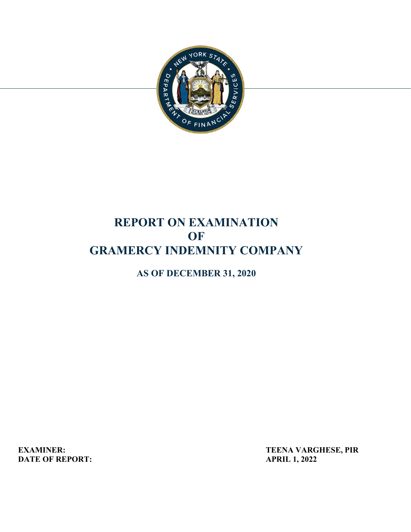

# **REPORT ON EXAMINATION OF GRAMERCY INDEMNITY COMPANY**

**AS OF DECEMBER 31, 2020** 

**DATE OF REPORT:**  $APRIL 1, 2022$ 

**EXAMINER:** TEENA VARGHESE, PIR<br>
DATE OF REPORT: APRIL 1, 2022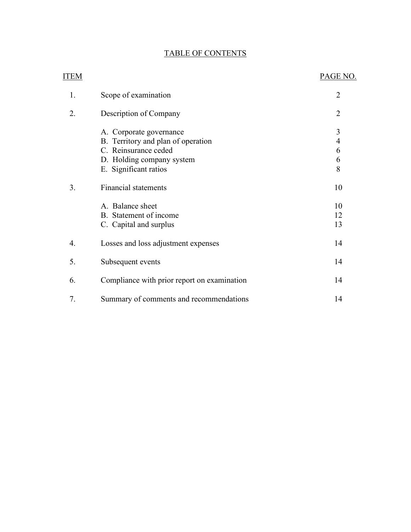## TABLE OF CONTENTS

| <b>ITEM</b> |                                                                                                                                             | PAGE NO.                           |
|-------------|---------------------------------------------------------------------------------------------------------------------------------------------|------------------------------------|
| 1.          | Scope of examination                                                                                                                        | $\overline{2}$                     |
| 2.          | Description of Company                                                                                                                      | $\overline{2}$                     |
|             | A. Corporate governance<br>B. Territory and plan of operation<br>C. Reinsurance ceded<br>D. Holding company system<br>E. Significant ratios | 3<br>$\overline{4}$<br>6<br>6<br>8 |
| 3.          | <b>Financial statements</b><br>A. Balance sheet<br>B. Statement of income<br>C. Capital and surplus                                         | 10<br>10<br>12<br>13               |
| 4.          | Losses and loss adjustment expenses                                                                                                         | 14                                 |
| 5.          | Subsequent events                                                                                                                           | 14                                 |
| 6.          | Compliance with prior report on examination                                                                                                 | 14                                 |
| 7.          | Summary of comments and recommendations                                                                                                     | 14                                 |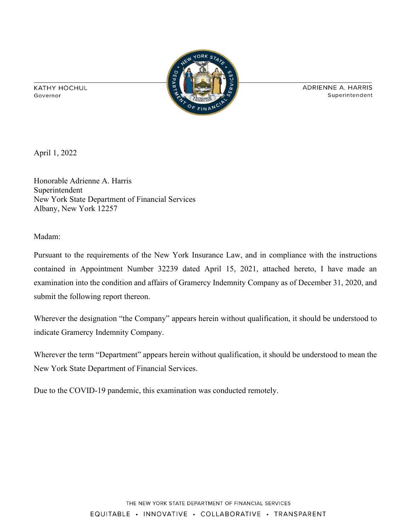**KATHY HOCHUL** Governor



ADRIENNE A. HARRIS Superintendent

April 1, 2022

Honorable Adrienne A. Harris Superintendent New York State Department of Financial Services Albany, New York 12257

Madam:

Pursuant to the requirements of the New York Insurance Law, and in compliance with the instructions contained in Appointment Number 32239 dated April 15, 2021, attached hereto, I have made an examination into the condition and affairs of Gramercy Indemnity Company as of December 31, 2020, and submit the following report thereon.

Wherever the designation "the Company" appears herein without qualification, it should be understood to indicate Gramercy Indemnity Company.

Wherever the term "Department" appears herein without qualification, it should be understood to mean the New York State Department of Financial Services.

Due to the COVID-19 pandemic, this examination was conducted remotely.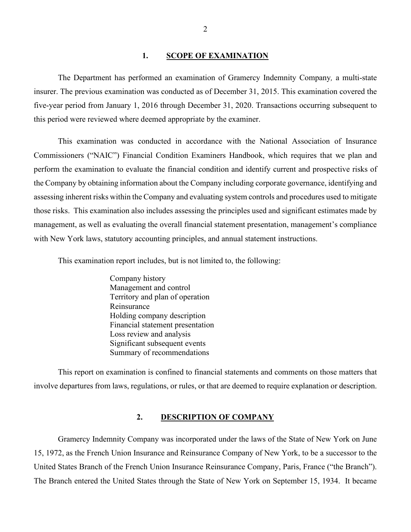#### **1. SCOPE OF EXAMINATION**

<span id="page-3-0"></span>The Department has performed an examination of Gramercy Indemnity Company*,* a multi-state insurer. The previous examination was conducted as of December 31, 2015. This examination covered the five-year period from January 1, 2016 through December 31, 2020. Transactions occurring subsequent to this period were reviewed where deemed appropriate by the examiner.

 those risks. This examination also includes assessing the principles used and significant estimates made by management, as well as evaluating the overall financial statement presentation, management's compliance with New York laws, statutory accounting principles, and annual statement instructions. This examination was conducted in accordance with the National Association of Insurance Commissioners ("NAIC") Financial Condition Examiners Handbook, which requires that we plan and perform the examination to evaluate the financial condition and identify current and prospective risks of the Company by obtaining information about the Company including corporate governance, identifying and assessing inherent risks within the Company and evaluating system controls and procedures used to mitigate

This examination report includes, but is not limited to, the following:

Company history Management and control Territory and plan of operation Reinsurance Holding company description Financial statement presentation Loss review and analysis Significant subsequent events Summary of recommendations

 This report on examination is confined to financial statements and comments on those matters that involve departures from laws, regulations, or rules, or that are deemed to require explanation or description.

### <span id="page-3-1"></span>**2. DESCRIPTION OF COMPANY**

 Gramercy Indemnity Company was incorporated under the laws of the State of New York on June 15, 1972, as the French Union Insurance and Reinsurance Company of New York, to be a successor to the United States Branch of the French Union Insurance Reinsurance Company, Paris, France ("the Branch"). The Branch entered the United States through the State of New York on September 15, 1934. It became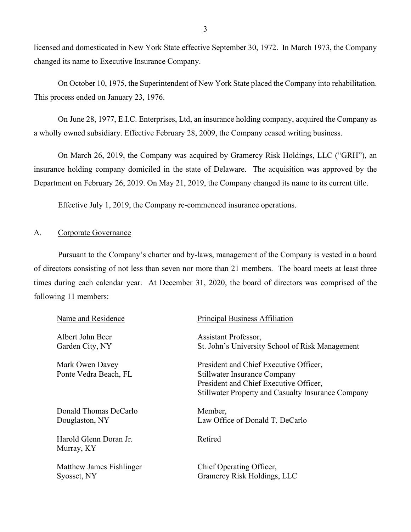licensed and domesticated in New York State effective September 30, 1972. In March 1973, the Company changed its name to Executive Insurance Company.

On October 10, 1975, the Superintendent of New York State placed the Company into rehabilitation. This process ended on January 23, 1976.

On June 28, 1977, E.I.C. Enterprises, Ltd, an insurance holding company, acquired the Company as a wholly owned subsidiary. Effective February 28, 2009, the Company ceased writing business.

On March 26, 2019, the Company was acquired by Gramercy Risk Holdings, LLC ("GRH"), an insurance holding company domiciled in the state of Delaware. The acquisition was approved by the Department on February 26, 2019. On May 21, 2019, the Company changed its name to its current title.

Effective July 1, 2019, the Company re-commenced insurance operations.<br>A. Corporate Governance

<span id="page-4-0"></span> of directors consisting of not less than seven nor more than 21 members. The board meets at least three following 11 members: Pursuant to the Company's charter and by-laws, management of the Company is vested in a board times during each calendar year. At December 31, 2020, the board of directors was comprised of the

| Principal Business Affiliation                            |
|-----------------------------------------------------------|
| Assistant Professor,                                      |
| St. John's University School of Risk Management           |
| President and Chief Executive Officer,                    |
| <b>Stillwater Insurance Company</b>                       |
| President and Chief Executive Officer,                    |
| <b>Stillwater Property and Casualty Insurance Company</b> |
| Member,                                                   |
| Law Office of Donald T. DeCarlo                           |
| Retired                                                   |
|                                                           |
| Chief Operating Officer,                                  |
|                                                           |
|                                                           |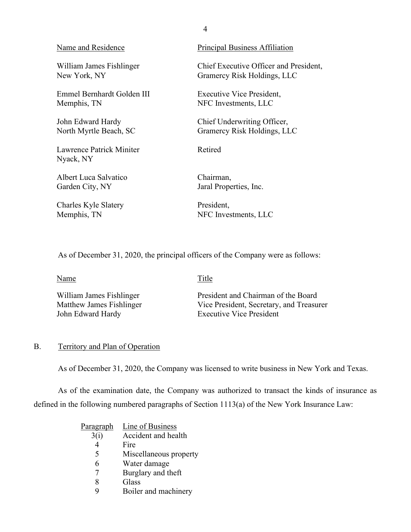| Name and Residence                    | Principal Business Affiliation         |
|---------------------------------------|----------------------------------------|
| William James Fishlinger              | Chief Executive Officer and President, |
| New York, NY                          | Gramercy Risk Holdings, LLC            |
| Emmel Bernhardt Golden III            | Executive Vice President,              |
| Memphis, TN                           | NFC Investments, LLC                   |
| John Edward Hardy                     | Chief Underwriting Officer,            |
| North Myrtle Beach, SC                | Gramercy Risk Holdings, LLC            |
| Lawrence Patrick Miniter<br>Nyack, NY | Retired                                |
| Albert Luca Salvatico                 | Chairman,                              |
| Garden City, NY                       | Jaral Properties, Inc.                 |
| Charles Kyle Slatery                  | President,                             |
| Memphis, TN                           | NFC Investments, LLC                   |

4

As of December 31, 2020, the principal officers of the Company were as follows:

Name Title

| William James Fishlinger | President and Chairman of the Board      |
|--------------------------|------------------------------------------|
| Matthew James Fishlinger | Vice President, Secretary, and Treasurer |
| John Edward Hardy        | <b>Executive Vice President</b>          |

## <span id="page-5-0"></span>B. Territory and Plan of Operation

As of December 31, 2020, the Company was licensed to write business in New York and Texas.

As of the examination date, the Company was authorized to transact the kinds of insurance as defined in the following numbered paragraphs of Section 1113(a) of the New York Insurance Law:

| <u>Paragraph</u> | Line of Business       |
|------------------|------------------------|
| 3(i)             | Accident and health    |
|                  | Fire                   |
| 5                | Miscellaneous property |
| 6                | Water damage           |
|                  | Burglary and theft     |
|                  | Glass                  |
|                  | Boiler and machinery   |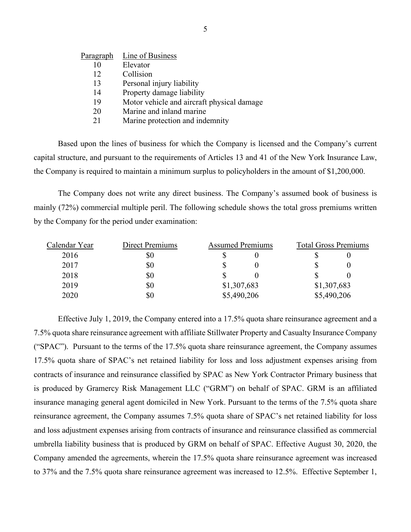| Paragraph | Line of Business                           |
|-----------|--------------------------------------------|
| 10        | Elevator                                   |
| 12        | Collision                                  |
| 13        | Personal injury liability                  |
| 14        | Property damage liability                  |
| 19        | Motor vehicle and aircraft physical damage |
| 20        | Marine and inland marine                   |
| 21        | Marine protection and indemnity            |

Based upon the lines of business for which the Company is licensed and the Company's current capital structure, and pursuant to the requirements of Articles 13 and 41 of the New York Insurance Law, the Company is required to maintain a minimum surplus to policyholders in the amount of \$1,200,000.

The Company does not write any direct business. The Company's assumed book of business is mainly (72%) commercial multiple peril. The following schedule shows the total gross premiums written by the Company for the period under examination:

| Calendar Year | <b>Direct Premiums</b> | <b>Assumed Premiums</b> |             | <b>Total Gross Premiums</b> |
|---------------|------------------------|-------------------------|-------------|-----------------------------|
| 2016          | \$0                    |                         |             |                             |
| 2017          | \$0                    |                         |             |                             |
| 2018          | \$0                    |                         |             |                             |
| 2019          | \$0                    | \$1,307,683             | \$1,307,683 |                             |
| 2020          | \$0                    | \$5,490,206             |             | \$5,490,206                 |

 Effective July 1, 2019, the Company entered into a 17.5% quota share reinsurance agreement and a is produced by Gramercy Risk Management LLC ("GRM") on behalf of SPAC. GRM is an affiliated to 37% and the 7.5% quota share reinsurance agreement was increased to 12.5%. Effective September 1, 7.5% quota share reinsurance agreement with affiliate Stillwater Property and Casualty Insurance Company ("SPAC"). Pursuant to the terms of the 17.5% quota share reinsurance agreement, the Company assumes 17.5% quota share of SPAC's net retained liability for loss and loss adjustment expenses arising from contracts of insurance and reinsurance classified by SPAC as New York Contractor Primary business that insurance managing general agent domiciled in New York. Pursuant to the terms of the 7.5% quota share reinsurance agreement, the Company assumes 7.5% quota share of SPAC's net retained liability for loss and loss adjustment expenses arising from contracts of insurance and reinsurance classified as commercial umbrella liability business that is produced by GRM on behalf of SPAC. Effective August 30, 2020, the Company amended the agreements, wherein the 17.5% quota share reinsurance agreement was increased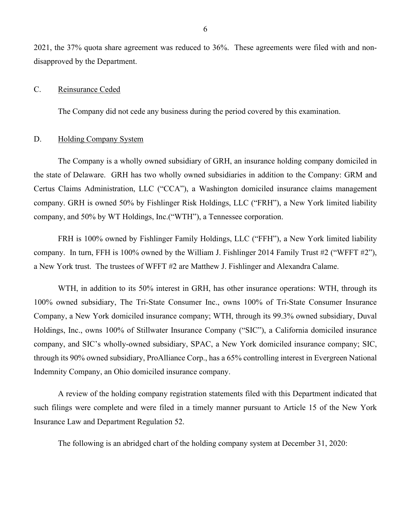2021, the 37% quota share agreement was reduced to 36%. These agreements were filed with and nondisapproved by the Department.

#### <span id="page-7-0"></span>C. Reinsurance Ceded

The Company did not cede any business during the period covered by this examination.

#### <span id="page-7-1"></span>D. Holding Company System

 the state of Delaware. GRH has two wholly owned subsidiaries in addition to the Company: GRM and company, and 50% by WT Holdings, Inc.("WTH"), a Tennessee corporation. The Company is a wholly owned subsidiary of GRH, an insurance holding company domiciled in Certus Claims Administration, LLC ("CCA"), a Washington domiciled insurance claims management company. GRH is owned 50% by Fishlinger Risk Holdings, LLC ("FRH"), a New York limited liability

FRH is 100% owned by Fishlinger Family Holdings, LLC ("FFH"), a New York limited liability company. In turn, FFH is 100% owned by the William J. Fishlinger 2014 Family Trust #2 ("WFFT #2"), a New York trust. The trustees of WFFT #2 are Matthew J. Fishlinger and Alexandra Calame.

 100% owned subsidiary, The Tri-State Consumer Inc., owns 100% of Tri-State Consumer Insurance Company, a New York domiciled insurance company; WTH, through its 99.3% owned subsidiary, Duval company, and SIC's wholly-owned subsidiary, SPAC, a New York domiciled insurance company; SIC, WTH, in addition to its 50% interest in GRH, has other insurance operations: WTH, through its Holdings, Inc., owns 100% of Stillwater Insurance Company ("SIC"), a California domiciled insurance through its 90% owned subsidiary, ProAlliance Corp., has a 65% controlling interest in Evergreen National Indemnity Company, an Ohio domiciled insurance company.

A review of the holding company registration statements filed with this Department indicated that such filings were complete and were filed in a timely manner pursuant to Article 15 of the New York Insurance Law and Department Regulation 52.

The following is an abridged chart of the holding company system at December 31, 2020: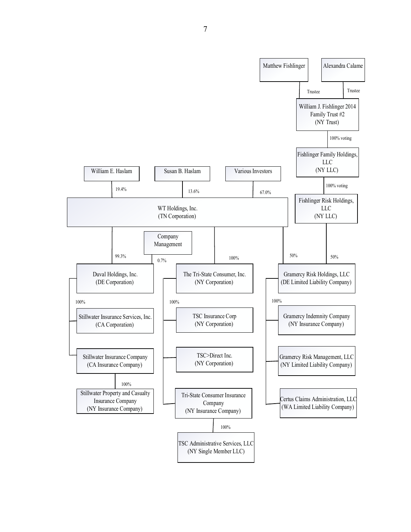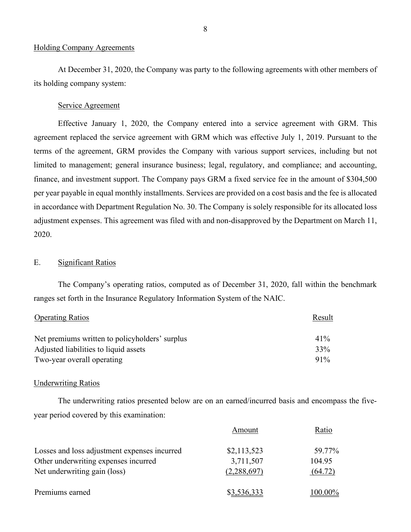#### Holding Company Agreements

its holding company system:<br>Service Agreement At December 31, 2020, the Company was party to the following agreements with other members of

 Effective January 1, 2020, the Company entered into a service agreement with GRM. This terms of the agreement, GRM provides the Company with various support services, including but not finance, and investment support. The Company pays GRM a fixed service fee in the amount of \$304,500 agreement replaced the service agreement with GRM which was effective July 1, 2019. Pursuant to the limited to management; general insurance business; legal, regulatory, and compliance; and accounting, per year payable in equal monthly installments. Services are provided on a cost basis and the fee is allocated in accordance with Department Regulation No. 30. The Company is solely responsible for its allocated loss adjustment expenses. This agreement was filed with and non-disapproved by the Department on March 11, 2020.

### E. Significant Ratios

 ranges set forth in the Insurance Regulatory Information System of the NAIC. The Company's operating ratios, computed as of December 31, 2020, fall within the benchmark

<span id="page-9-0"></span>

| <b>Operating Ratios</b>                        | Result |
|------------------------------------------------|--------|
| Net premiums written to policyholders' surplus | $41\%$ |
| Adjusted liabilities to liquid assets          | 33%    |
| Two-year overall operating                     | $91\%$ |

#### **Underwriting Ratios**

The underwriting ratios presented below are on an earned/incurred basis and encompass the fiveyear period covered by this examination:

|                                              | Amount      | Ratio   |
|----------------------------------------------|-------------|---------|
| Losses and loss adjustment expenses incurred | \$2,113,523 | 59.77%  |
| Other underwriting expenses incurred         | 3,711,507   | 104.95  |
| Net underwriting gain (loss)                 | (2,288,697) | (64.72) |
| Premiums earned                              | \$3,536,333 | 100.00% |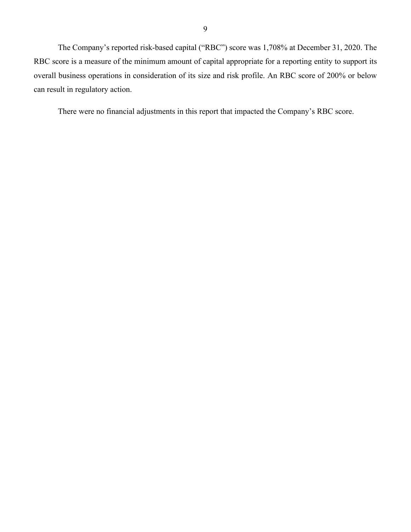The Company's reported risk-based capital ("RBC") score was 1,708% at December 31, 2020. The overall business operations in consideration of its size and risk profile. An RBC score of 200% or below RBC score is a measure of the minimum amount of capital appropriate for a reporting entity to support its can result in regulatory action.

There were no financial adjustments in this report that impacted the Company's RBC score.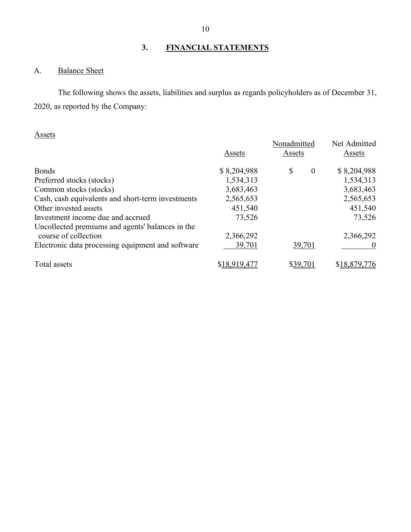## **3. FINANCIAL STATEMENTS**

## <span id="page-11-1"></span><span id="page-11-0"></span>A. Balance Sheet

The following shows the assets, liabilities and surplus as regards policyholders as of December 31, 2020, as reported by the Company:

## Assets

|                                                   | Assets       | Nonadmitted<br>Assets | Net Admitted<br>Assets |
|---------------------------------------------------|--------------|-----------------------|------------------------|
| <b>Bonds</b>                                      | \$8,204,988  | \$<br>$\bf{0}$        | \$8,204,988            |
| Preferred stocks (stocks)                         | 1,534,313    |                       | 1,534,313              |
| Common stocks (stocks)                            | 3,683,463    |                       | 3,683,463              |
| Cash, cash equivalents and short-term investments | 2,565,653    |                       | 2,565,653              |
| Other invested assets                             | 451,540      |                       | 451,540                |
| Investment income due and accrued                 | 73,526       |                       | 73,526                 |
| Uncollected premiums and agents' balances in the  |              |                       |                        |
| course of collection                              | 2,366,292    |                       | 2,366,292              |
| Electronic data processing equipment and software | 39,701       | 39,701                |                        |
| Total assets                                      | \$18,919,477 | \$39,701              | \$18,879,776           |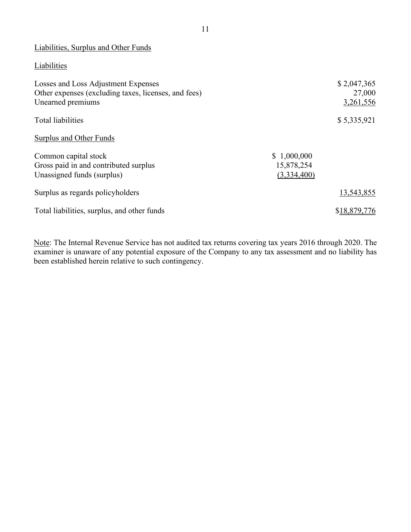## Liabilities, Surplus and Other Funds

## **Liabilities**

| Losses and Loss Adjustment Expenses<br>Other expenses (excluding taxes, licenses, and fees)<br>Unearned premiums |                           | \$2,047,365<br>27,000<br>3,261,556 |
|------------------------------------------------------------------------------------------------------------------|---------------------------|------------------------------------|
| Total liabilities                                                                                                |                           | \$5,335,921                        |
| Surplus and Other Funds                                                                                          |                           |                                    |
| Common capital stock                                                                                             | \$1,000,000               |                                    |
| Gross paid in and contributed surplus<br>Unassigned funds (surplus)                                              | 15,878,254<br>(3,334,400) |                                    |
| Surplus as regards policyholders                                                                                 |                           | 13,543,855                         |
| Total liabilities, surplus, and other funds                                                                      |                           | \$18,879,776                       |

Note: The Internal Revenue Service has not audited tax returns covering tax years 2016 through 2020. The examiner is unaware of any potential exposure of the Company to any tax assessment and no liability has been established herein relative to such contingency.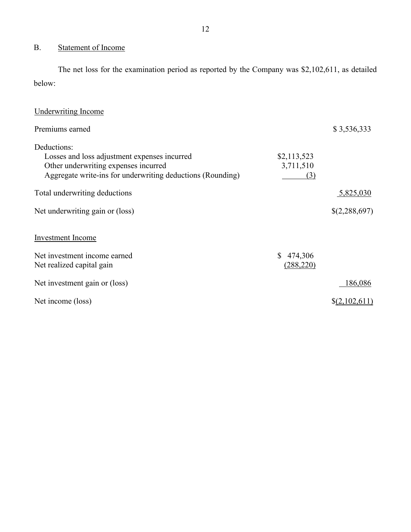## <span id="page-13-0"></span>B. Statement of Income

 The net loss for the examination period as reported by the Company was \$2,102,611, as detailed below:

| <b>Underwriting Income</b>                                                                                                                                        |                                 |                 |
|-------------------------------------------------------------------------------------------------------------------------------------------------------------------|---------------------------------|-----------------|
| Premiums earned                                                                                                                                                   |                                 | \$3,536,333     |
| Deductions:<br>Losses and loss adjustment expenses incurred<br>Other underwriting expenses incurred<br>Aggregate write-ins for underwriting deductions (Rounding) | \$2,113,523<br>3,711,510<br>(3) |                 |
| Total underwriting deductions                                                                                                                                     |                                 | 5,825,030       |
| Net underwriting gain or (loss)                                                                                                                                   |                                 | \$(2,288,697)   |
| <b>Investment Income</b>                                                                                                                                          |                                 |                 |
| Net investment income earned<br>Net realized capital gain                                                                                                         | \$474,306<br>(288, 220)         |                 |
| Net investment gain or (loss)                                                                                                                                     |                                 | 186,086         |
| Net income (loss)                                                                                                                                                 |                                 | $\S(2,102,611)$ |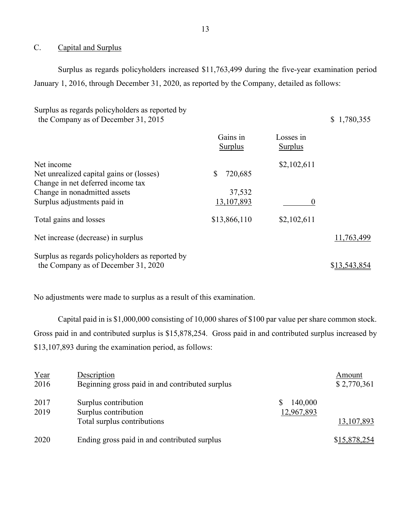#### <span id="page-14-0"></span>C. Capital and Surplus

 January 1, 2016, through December 31, 2020, as reported by the Company, detailed as follows: Surplus as regards policyholders increased \$11,763,499 during the five-year examination period

Surplus as regards policyholders as reported by the Company as of December 31, 2015  $\qquad$  \$ 1,780,355

|                                                 | Gains in<br>Surplus | Losses in<br>Surplus |              |
|-------------------------------------------------|---------------------|----------------------|--------------|
| Net income                                      |                     | \$2,102,611          |              |
| Net unrealized capital gains or (losses)        | \$<br>720,685       |                      |              |
| Change in net deferred income tax               |                     |                      |              |
| Change in nonadmitted assets                    | 37,532              |                      |              |
| Surplus adjustments paid in                     | 13, 107, 893        | 0                    |              |
| Total gains and losses                          | \$13,866,110        | \$2,102,611          |              |
| Net increase (decrease) in surplus              |                     |                      | 11,763,499   |
| Surplus as regards policyholders as reported by |                     |                      |              |
| the Company as of December 31, 2020             |                     |                      | \$13,543,854 |

No adjustments were made to surplus as a result of this examination.

No adjustments were made to surplus as a result of this examination.<br>Capital paid in is \$1,000,000 consisting of 10,000 shares of \$100 par value per share common stock.<br>Gross paid in and contributed surplus is \$15,878,254. \$13,107,893 during the examination period, as follows:

| Year<br>2016 | Description<br>Beginning gross paid in and contributed surplus              |                       | Amount<br>\$2,770,361 |
|--------------|-----------------------------------------------------------------------------|-----------------------|-----------------------|
| 2017<br>2019 | Surplus contribution<br>Surplus contribution<br>Total surplus contributions | 140,000<br>12,967,893 | 13, 107, 893          |
| 2020         | Ending gross paid in and contributed surplus                                |                       | \$15,878,254          |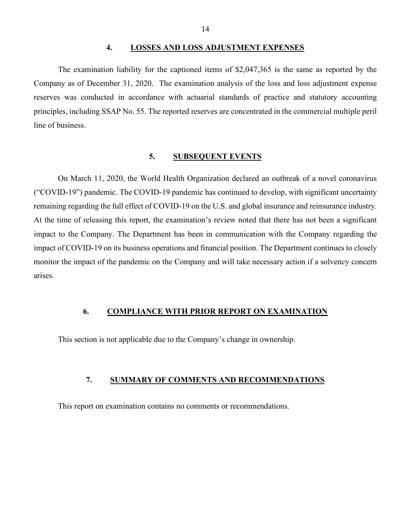#### **4. LOSSES AND LOSS ADJUSTMENT EXPENSES**

<span id="page-15-0"></span> Company as of December 31, 2020. The examination analysis of the loss and loss adjustment expense line of business. The examination liability for the captioned items of \$2,047,365 is the same as reported by the reserves was conducted in accordance with actuarial standards of practice and statutory accounting principles, including SSAP No. 55. The reported reserves are concentrated in the commercial multiple peril

#### **5. SUBSEQUENT EVENTS**

<span id="page-15-1"></span> monitor the impact of the pandemic on the Company and will take necessary action if a solvency concern On March 11, 2020, the World Health Organization declared an outbreak of a novel coronavirus ("COVID-19") pandemic. The COVID-19 pandemic has continued to develop, with significant uncertainty remaining regarding the full effect of COVID-19 on the U.S. and global insurance and reinsurance industry. At the time of releasing this report, the examination's review noted that there has not been a significant impact to the Company. The Department has been in communication with the Company regarding the impact of COVID-19 on its business operations and financial position. The Department continues to closely arises.

### <span id="page-15-2"></span>**6. COMPLIANCE WITH PRIOR REPORT ON EXAMINATION**

<span id="page-15-3"></span>This section is not applicable due to the Company's change in ownership.

#### **7. SUMMARY OF COMMENTS AND RECOMMENDATIONS**

This report on examination contains no comments or recommendations.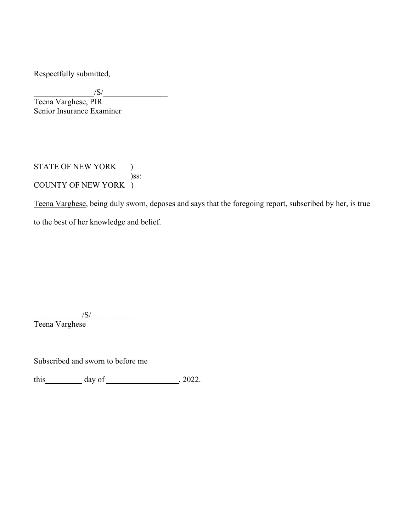Respectfully submitted,

 $\frac{|S|}{|S|}$ 

Teena Varghese, PIR Senior Insurance Examiner

STATE OF NEW YORK ) )ss: COUNTY OF NEW YORK )

Teena Varghese, being duly sworn, deposes and says that the foregoing report, subscribed by her, is true to the best of her knowledge and belief.

 $\sqrt{S}/$ 

Teena Varghese

Subscribed and sworn to before me

this  $\_\_\_\_\_\_\$  day of  $\_\_\_\_\_\_\_$ , 2022.